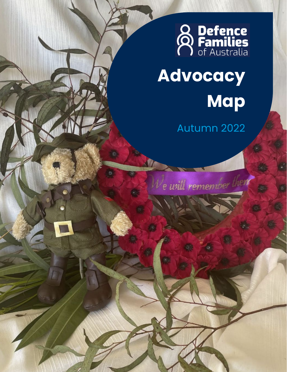

# **Advocacy Map**

Autumn 2022

We will remember them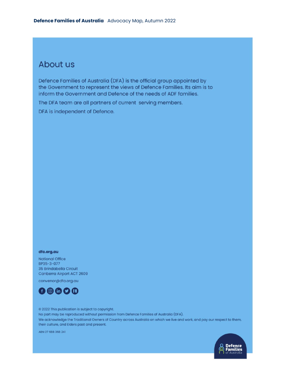### About us

Defence Families of Australia (DFA) is the official group appointed by the Government to represent the views of Defence Families. Its aim is to inform the Government and Defence of the needs of ADF families.

The DFA team are all partners of current serving members.

DFA is independent of Defence.

#### dfa.org.au

**National Office** BP35-3-077 35 Brindabella Circuit Canberra Airport ACT 2609

convenor@dfa.org.au



@ 2022 This publication is subject to copyright. No part may be reproduced without permission from Defence Families of Australia (DFA). We acknowledge the Traditional Owners of Country across Australia on which we live and work, and pay our respect to them, their culture, and Elders past and present.

ABN 27 688 368 241

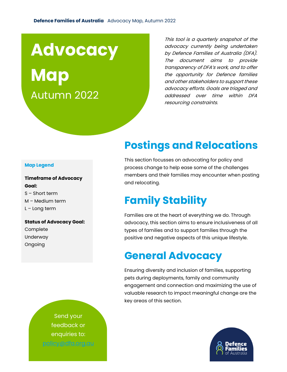## **Advocacy**

**Map** Autumn 2022

This tool is a quarterly snapshot of the advocacy currently being undertaken by Defence Families of Australia (DFA). The document aims to provide transparency of DFA's work, and to offer the opportunity for Defence families and other stakeholders to support these advocacy efforts. Goals are triaged and addressed over time within DFA resourcing constraints.

### **Postings and Relocations**

This section focusses on advocating for policy and process change to help ease some of the challenges members and their families may encounter when posting and relocating.

### **Family Stability**

Families are at the heart of everything we do. Through advocacy, this section aims to ensure inclusiveness of all types of families and to support families through the positive and negative aspects of this unique lifestyle.

### **General Advocacy**

Ensuring diversity and inclusion of families, supporting pets during deployments, family and community engagement and connection and maximizing the use of valuable research to impact meaningful change are the key areas of this section.



#### **Map Legend**

**Timeframe of Advocacy Goal:** S – Short term M – Medium term L – Long term

**Status of Advocacy Goal:** Complete Underway Ongoing

> Send your feedback or enquiries to: policy@dfa.org.au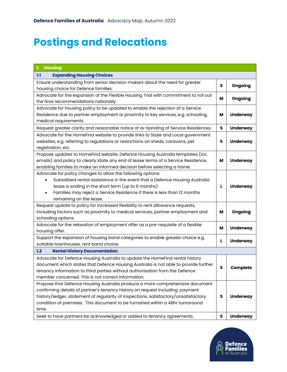### **Postings and Relocations**

| ${\bf L}$<br><b>Housing</b>                                                                                                       |   |                 |
|-----------------------------------------------------------------------------------------------------------------------------------|---|-----------------|
| <b>Expanding Housing Choices</b><br>1.1                                                                                           |   |                 |
| Ensure understanding from senior decision makers about the need for greater                                                       | s | Ongoing         |
| housing choice for Defence families.                                                                                              |   |                 |
| Advocate for the expansion of the Flexible Housing Trial with commitment to roll out                                              | м | Ongoing         |
| the final recommendations nationally.                                                                                             |   |                 |
| Advocate for housing policy to be updated to enable the rejection of a Service                                                    |   |                 |
| Residence due to partner employment or proximity to key services, e.g. schooling,                                                 | м | <b>Underway</b> |
| medical requirements.                                                                                                             |   |                 |
| Request greater clarity and reasonable notice of re-banding of Service Residences.                                                | S | <b>Underway</b> |
| Advocate for the HomeFind website to provide links to State and Local government                                                  |   |                 |
| websites, e.g. referring to regulations or restrictions on sheds, caravans, pet                                                   | s | <b>Underway</b> |
| registration, etc.                                                                                                                |   |                 |
| Propose updates to HomeFind website, Defence Housing Australia templates (inc.                                                    |   |                 |
| emails) and policy to clearly state any end of lease terms of a Service Residence,                                                | м | <b>Underway</b> |
| enabling families to make an informed decision before selecting a home.                                                           |   |                 |
| Advocate for policy changes to allow the following options:                                                                       |   |                 |
| Subsidised rental assistance in the event that a Defence Housing Australia<br>lease is ending in the short term (up to 6 months). | L | <b>Underway</b> |
| Families may reject a Service Residence if there is less than 12 months                                                           |   |                 |
| remaining on the lease.                                                                                                           |   |                 |
| Request update to policy for increased flexibility to rent allowance requests,                                                    |   |                 |
| including factors such as proximity to medical services, partner employment and                                                   | м | Ongoing         |
| schooling options.                                                                                                                |   |                 |
| Advocate for the relaxation of employment offer as a pre-requisite of a flexible                                                  |   |                 |
| housing offer.                                                                                                                    | м | <b>Underway</b> |
| Support the expansion of housing band categories to enable greater choice e.g.                                                    |   |                 |
| suitable townhouses, rent band choice.                                                                                            | L | <b>Underway</b> |
| <b>Rental History Documentation</b><br>1.2                                                                                        |   |                 |
| Advocate for Defence Housing Australia to update the HomeFind rental history                                                      |   |                 |
| document which states that Defence Housing Australia is not able to provide further                                               | S | Complete        |
| tenancy information to third parties without authorisation from the Defence                                                       |   |                 |
| member concerned. This is not correct information.                                                                                |   |                 |
| Propose that Defence Housing Australia produce a more comprehensive document                                                      |   |                 |
| confirming details of partner's tenancy history on request including: payment                                                     |   |                 |
| history/ledger, statement of regularity of inspections, satisfactory/unsatisfactory                                               | s | <b>Underway</b> |
| condition of premises. This document to be furnished within a 48hr turnaround                                                     |   |                 |
| time.                                                                                                                             |   |                 |
| Seek to have partners be acknowledged or added to tenancy agreements.                                                             | S | <b>Underway</b> |

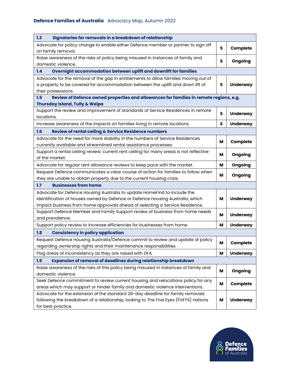| Advocate for policy change to enable either Defence member or partner to sign off                                                                                  |  |  |
|--------------------------------------------------------------------------------------------------------------------------------------------------------------------|--|--|
| Complete<br>s<br>on family removal.                                                                                                                                |  |  |
| Raise awareness of the risks of policy being misused in instances of family and<br>Ongoing<br>s<br>domestic violence.                                              |  |  |
| Overnight accommodation between uplift and downlift for families<br>1.4                                                                                            |  |  |
| Advocate for the removal of the gap in entitlements to allow families moving out of                                                                                |  |  |
| a property to be covered for accommodation between the uplift and down lift of<br><b>Underway</b><br>s                                                             |  |  |
| their possessions.                                                                                                                                                 |  |  |
| Review of Defence owned properties and allowances for families in remote regions, e.g.<br>1.5                                                                      |  |  |
| <b>Thursday Island, Tully &amp; Weipa</b>                                                                                                                          |  |  |
| Support the review and improvement of standards of Service Residences in remote<br>s<br><b>Underway</b><br>locations.                                              |  |  |
| Increase awareness of the impacts on families living in remote locations.<br><b>Underway</b><br>s                                                                  |  |  |
| 1.6                                                                                                                                                                |  |  |
| Review of rental ceiling & Service Residence numbers                                                                                                               |  |  |
| Advocate for the need for more stability in the numbers of Service Residences<br>Complete<br>M<br>currently available and streamlined rental assistance processes. |  |  |
| Support a rental ceiling review; current rent ceiling for many areas is not reflective                                                                             |  |  |
| Ongoing<br>м<br>of the market.                                                                                                                                     |  |  |
| M<br>Ongoing<br>Advocate for regular rent allowance reviews to keep pace with the market.                                                                          |  |  |
| Request Defence communicates a clear course of action for families to follow when                                                                                  |  |  |
| Ongoing<br>м<br>they are unable to obtain property due to the current housing crisis.                                                                              |  |  |
| <b>Businesses from home</b><br>1.7                                                                                                                                 |  |  |
| Advocate for Defence Housing Australia to update HomeFind to include the                                                                                           |  |  |
| identification of houses owned by Defence or Defence Housing Australia, which<br><b>Underway</b><br>M                                                              |  |  |
| impact business from home approvals ahead of selecting a Service Residence.                                                                                        |  |  |
| Support Defence Member and Family Support review of business from home needs<br>M<br><b>Underway</b>                                                               |  |  |
| and prevalence.                                                                                                                                                    |  |  |
| Support policy review to increase efficiencies for businesses from home.<br><b>Underway</b><br>M                                                                   |  |  |
| 1.8<br><b>Consistency in policy application</b>                                                                                                                    |  |  |
| Request Defence Housing Australia/Defence commit to review and update of policy<br>M<br>Complete                                                                   |  |  |
| regarding ownership rights and their maintenance responsibilities.                                                                                                 |  |  |
| Flag areas of inconsistency as they are raised with DFA.<br>М<br><b>Underway</b>                                                                                   |  |  |
| Expansion of removal of deadlines during relationship breakdown<br>1.9                                                                                             |  |  |
| Raise awareness of the risks of this policy being misused in instances of family and<br>Ongoing<br>м<br>domestic violence.                                         |  |  |
| Seek Defence commitment to review current housing and relocations policy for any                                                                                   |  |  |
| М<br>Complete<br>areas which may support or hinder family and domestic violence interventions.                                                                     |  |  |
| Advocate for the extension of the standard 28-day deadline for family removals                                                                                     |  |  |
| following the breakdown of a relationship, looking to The Five Eyes (FVEYS) nations<br><b>Underway</b><br>M<br>for best practice.                                  |  |  |

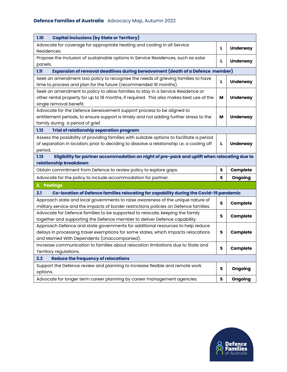| <b>Capital inclusions (by State or Territory)</b><br>1.10                                                                                                                                                           |    |                 |
|---------------------------------------------------------------------------------------------------------------------------------------------------------------------------------------------------------------------|----|-----------------|
| Advocate for coverage for appropriate heating and cooling in all Service<br>Residences.                                                                                                                             | L. | <b>Underway</b> |
| Propose the inclusion of sustainable options in Service Residences, such as solar<br>panels.                                                                                                                        | L  | <b>Underway</b> |
| Expansion of removal deadlines during bereavement (death of a Defence member)<br>1.11                                                                                                                               |    |                 |
| Seek an amendment tzxo policy to recognise the needs of grieving families to have<br>time to process and plan for the future (recommended 18 months).                                                               | L  | <b>Underway</b> |
| Seek an amendment to policy to allow families to stay in a Service Residence or<br>other rental property for up to 18 months, if required. This also makes best use of the<br>single removal benefit.               | м  | <b>Underway</b> |
| Advocate for the Defence bereavement support process to be aligned to<br>entitlement periods, to ensure support is timely and not adding further stress to the<br>family during a period of grief.                  | м  | <b>Underway</b> |
| 1.12<br><b>Trial of relationship separation program</b>                                                                                                                                                             |    |                 |
| Assess the possibility of providing families with suitable options to facilitate a period<br>of separation in location, prior to deciding to dissolve a relationship i.e. a cooling off<br>period.                  | L  | <b>Underway</b> |
| Eligibility for partner accommodation on night of pre-pack and uplift when relocating due to<br>1.13<br>relationship breakdown                                                                                      |    |                 |
| Obtain commitment from Defence to review policy to explore gaps.                                                                                                                                                    | S  | Complete        |
| Advocate for the policy to include accommodation for partner.                                                                                                                                                       | s  | Ongoing         |
| 2. Postings                                                                                                                                                                                                         |    |                 |
| Co-location of Defence families relocating for capability during the Covid-19 pandemic<br>2.1                                                                                                                       |    |                 |
| Approach state and local governments to raise awareness of the unique nature of<br>military service and the impacts of border restrictions policies on Defence families.                                            | s  | Complete        |
| Advocate for Defence families to be supported to relocate, keeping the family<br>together and supporting the Defence member to deliver Defence capability.                                                          | s  | Complete        |
| Approach Defence and state governments for additional resources to help reduce<br>delays in processing travel exemptions for some states, which impacts relocations<br>and Married With Dependents (Unaccompanied). | s  | Complete        |
| Increase communication to families about relocation limitations due to State and<br>Territory regulations.                                                                                                          | s  | Complete        |
| <b>Reduce the frequency of relocations</b><br>2.2                                                                                                                                                                   |    |                 |
| Support the Defence review and planning to increase flexible and remote work<br>options.                                                                                                                            | s  | Ongoing         |
| Advocate for longer term career planning by career management agencies.                                                                                                                                             | S  | Ongoing         |

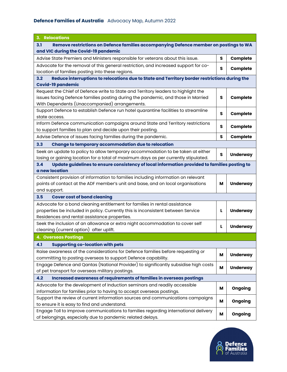| 3. Relocations                                                                                       |              |                 |
|------------------------------------------------------------------------------------------------------|--------------|-----------------|
| Remove restrictions on Defence families accompanying Defence member on postings to WA<br>3.1         |              |                 |
| and VIC during the Covid-19 pandemic                                                                 |              |                 |
| Advise State Premiers and Ministers responsible for veterans about this issue.                       | s            | <b>Complete</b> |
| Advocate for the removal of this general restriction, and increased support for co-                  | s            |                 |
| location of families posting into these regions.                                                     |              | <b>Complete</b> |
| Reduce interruptions to relocations due to State and Territory border restrictions during the<br>3.2 |              |                 |
| <b>Covid-19 pandemic</b>                                                                             |              |                 |
| Request the Chief of Defence write to State and Territory leaders to highlight the                   |              |                 |
| issues facing Defence families posting during the pandemic, and those in Married                     | s            | Complete        |
| With Dependents (Unaccompanied) arrangements.                                                        |              |                 |
| Support Defence to establish Defence run hotel quarantine facilities to streamline                   | s            | Complete        |
| state access.                                                                                        |              |                 |
| Inform Defence communication campaigns around State and Territory restrictions                       | S            | Complete        |
| to support families to plan and decide upon their posting.                                           |              |                 |
| Advise Defence of issues facing families during the pandemic.                                        | s            | <b>Complete</b> |
| 3.3<br>Change to temporary accommodation due to relocation                                           |              |                 |
| Seek an update to policy to allow temporary accommodation to be taken at either                      | $\mathsf{s}$ |                 |
| losing or gaining location for a total of maximum days as per currently stipulated.                  |              | <b>Underway</b> |
| Update guidelines to ensure consistency of local information provided to families posting to<br>3.4  |              |                 |
| a new location                                                                                       |              |                 |
| Consistent provision of information to families including information on relevant                    |              |                 |
| points of contact at the ADF member's unit and base, and on local organisations                      | М            | <b>Underway</b> |
| and support.                                                                                         |              |                 |
| 3.5<br><b>Cover cost of bond cleaning</b>                                                            |              |                 |
| Advocate for a bond cleaning entitlement for families in rental assistance                           |              |                 |
| properties be included in policy. Currently this is inconsistent between Service                     | L            | <b>Underway</b> |
| Residences and rental assistance properties.                                                         |              |                 |
| Seek the inclusion of an allowance or extra night accommodation to cover self                        | L            | <b>Underway</b> |
| cleaning (current option) after uplift.                                                              |              |                 |
| <b>4. Overseas Postings</b>                                                                          |              |                 |
| 4.1<br><b>Supporting co-location with pets</b>                                                       |              |                 |
| Raise awareness of the considerations for Defence families before requesting or                      |              |                 |
| committing to posting overseas to support Defence capability.                                        | м            | <b>Underway</b> |
| Engage Defence and Qantas (National Provider) to significantly subsidise high costs                  | М            |                 |
| of pet transport for overseas military postings.                                                     |              | <b>Underway</b> |
| Increased awareness of requirements of families in overseas postings<br>4.2                          |              |                 |
| Advocate for the development of Induction seminars and readily accessible                            | м            | Ongoing         |
| information for families prior to having to accept overseas postings.                                |              |                 |
| Support the review of current information sources and communications campaigns                       | М            | Ongoing         |
| to ensure it is easy to find and understand.                                                         |              |                 |
| Engage Toll to improve communications to families regarding international delivery                   | М            | Ongoing         |
| of belongings, especially due to pandemic related delays.                                            |              |                 |

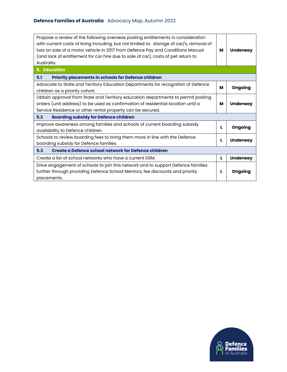| Propose a review of the following overseas posting entitlements in consideration<br>with current costs of living including, but not limited to: storage of car/s, removal of<br>loss on sale of a motor vehicle in 2017 from Defence Pay and Conditions Manual<br>(and lack of entitlement for car hire due to sale of car), costs of pet return to<br>Australia. | м | <b>Underway</b> |
|-------------------------------------------------------------------------------------------------------------------------------------------------------------------------------------------------------------------------------------------------------------------------------------------------------------------------------------------------------------------|---|-----------------|
| <b>5. Education</b>                                                                                                                                                                                                                                                                                                                                               |   |                 |
| <b>Priority placements in schools for Defence children</b><br>5.1                                                                                                                                                                                                                                                                                                 |   |                 |
| Advocate to State and Territory Education Departments for recognition of Defence<br>children as a priority cohort.                                                                                                                                                                                                                                                | м | Ongoing         |
| Obtain approval from State and Territory education departments to permit posting<br>orders (unit address) to be used as confirmation of residential location until a<br>Service Residence or other rental property can be secured.                                                                                                                                | м | <b>Underway</b> |
| <b>Boarding subsidy for Defence children</b><br>5.2                                                                                                                                                                                                                                                                                                               |   |                 |
| Improve awareness among families and schools of current boarding subsidy<br>availability to Defence children.                                                                                                                                                                                                                                                     | L | Ongoing         |
| Schools to review boarding fees to bring them more in line with the Defence<br>boarding subsidy for Defence families.                                                                                                                                                                                                                                             | L | <b>Underway</b> |
| 5.3<br>Create a Defence school network for Defence children                                                                                                                                                                                                                                                                                                       |   |                 |
| Create a list of school networks who have a current DSM.                                                                                                                                                                                                                                                                                                          | L | <b>Underway</b> |
| Drive engagement of schools to join this network and to support Defence families<br>further through providing Defence School Mentors, fee discounts and priority<br>placements.                                                                                                                                                                                   | L | Ongoing         |

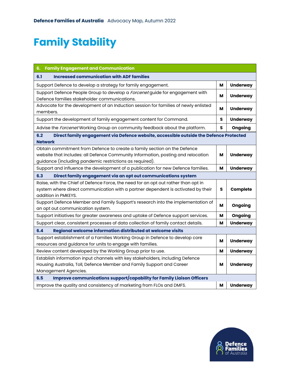### **Family Stability**

| <b>Family Engagement and Communication</b><br>6.                                                                                                                                                                        |   |                 |
|-------------------------------------------------------------------------------------------------------------------------------------------------------------------------------------------------------------------------|---|-----------------|
| <b>Increased communication with ADF families</b><br>6.1                                                                                                                                                                 |   |                 |
| Support Defence to develop a strategy for family engagement.                                                                                                                                                            | М | <b>Underway</b> |
| Support Defence People Group to develop a Forcenet guide for engagement with<br>Defence families stakeholder communications.                                                                                            | м | <b>Underway</b> |
| Advocate for the development of an Induction session for families of newly enlisted<br>members.                                                                                                                         | м | <b>Underway</b> |
| Support the development of family engagement content for Command.                                                                                                                                                       | s | <b>Underway</b> |
| Advise the Forcenet Working Group on community feedback about the platform.                                                                                                                                             | s | Ongoing         |
| Direct family engagement via Defence website, accessible outside the Defence Protected<br>6.2<br><b>Network</b>                                                                                                         |   |                 |
| Obtain commitment from Defence to create a family section on the Defence<br>website that includes: all Defence Community Information, posting and relocation<br>guidance (including pandemic restrictions as required). | м | <b>Underway</b> |
| Support and influence the development of a publication for new Defence families.                                                                                                                                        | M | <b>Underway</b> |
| 6.3<br>Direct family engagement via an opt out communications system                                                                                                                                                    |   |                 |
| Raise, with the Chief of Defence Force, the need for an opt out rather than opt in<br>system where direct communication with a partner dependent is activated by their<br>addition in PMKEYS.                           | s | Complete        |
| Support Defence Member and Family Support's research into the implementation of<br>an opt out communication system.                                                                                                     | м | Ongoing         |
| Support initiatives for greater awareness and uptake of Defence support services.                                                                                                                                       | м | Ongoing         |
| Support clear, consistent processes of data collection of family contact details.                                                                                                                                       | М | <b>Underway</b> |
| 6.4<br>Regional welcome information distributed at welcome visits                                                                                                                                                       |   |                 |
| Support establishment of a Families Working Group in Defence to develop core<br>resources and guidance for units to engage with families.                                                                               | м | <b>Underway</b> |
| Review content developed by the Working Group prior to use.                                                                                                                                                             | м | <b>Underway</b> |
| Establish information input channels with key stakeholders, including Defence<br>Housing Australia, Toll, Defence Member and Family Support and Career<br>Management Agencies.                                          | м | <b>Underway</b> |
| <b>Improve communications support/capability for Family Liaison Officers</b><br>6.5                                                                                                                                     |   |                 |
| Improve the quality and consistency of marketing from FLOs and DMFS.                                                                                                                                                    | м | <b>Underway</b> |

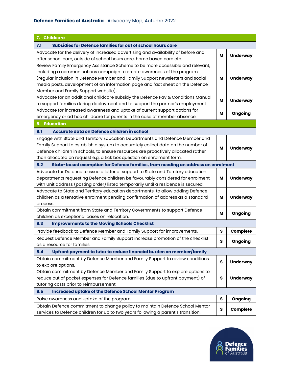| 7. Childcare                                                                            |         |                 |
|-----------------------------------------------------------------------------------------|---------|-----------------|
| Subsidies for Defence families for out of school hours care<br>7.1                      |         |                 |
| Advocate for the delivery of increased advertising and availability of before and       | М       | <b>Underway</b> |
| after school care, outside of school hours care, home based care etc.                   |         |                 |
| Review Family Emergency Assistance Scheme to be more accessible and relevant,           |         |                 |
| including a communications campaign to create awareness of the program                  |         |                 |
| (regular inclusion in Defence Member and Family Support newsletters and social          | м       | <b>Underway</b> |
| media posts, development of an information page and fact sheet on the Defence           |         |                 |
| Member and Family Support website),                                                     |         |                 |
| Advocate for an additional childcare subsidy the Defence Pay & Conditions Manual        | M       | <b>Underway</b> |
| to support families during deployment and to support the partner's employment.          |         |                 |
| Advocate for increased awareness and uptake of current support options for              |         |                 |
| emergency or ad hoc childcare for parents in the case of member absence.                | м       | Ongoing         |
| <b>8. Education</b>                                                                     |         |                 |
| Accurate data on Defence children in school<br>8.1                                      |         |                 |
| Engage with State and Territory Education Departments and Defence Member and            |         |                 |
| Family Support to establish a system to accurately collect data on the number of        |         |                 |
| Defence children in schools, to ensure resources are proactively allocated rather       | м       | <b>Underway</b> |
| than allocated on request e.g. a tick box question on enrolment form.                   |         |                 |
| 8.2<br>State-based exemption for Defence families, from needing an address on enrolment |         |                 |
| Advocate for Defence to issue a letter of support to State and Territory education      |         |                 |
| departments requesting Defence children be favourably considered for enrolment          | M       | <b>Underway</b> |
| with Unit address (posting order) listed temporarily until a residence is secured.      |         |                 |
| Advocate to State and Territory education departments to allow adding Defence           |         |                 |
| children as a tentative enrolment pending confirmation of address as a standard         | м       | <b>Underway</b> |
| process.                                                                                |         |                 |
| Obtain commitment from State and Territory Governments to support Defence               |         |                 |
| children as exceptional cases on relocation.                                            | м       | Ongoing         |
| 8.3<br><b>Improvements to the Moving Schools Checklist</b>                              |         |                 |
| Provide feedback to Defence Member and Family Support for improvements.                 | $\sf s$ | Complete        |
| Request Defence Member and Family Support increase promotion of the checklist           | s       | Ongoing         |
| as a resource for families.                                                             |         |                 |
| 8.4<br>Upfront payment to tutor to reduce financial burden on member/family             |         |                 |
| Obtain commitment by Defence Member and Family Support to review conditions             | s       | <b>Underway</b> |
| to explore options.                                                                     |         |                 |
| Obtain commitment by Defence Member and Family Support to explore options to            |         |                 |
| reduce out of pocket expenses for Defence families (due to upfront payment) of          | s       | <b>Underway</b> |
| tutoring costs prior to reimbursement.                                                  |         |                 |
| 8.5<br><b>Increased uptake of the Defence School Mentor Program</b>                     |         |                 |
| Raise awareness and uptake of the program.                                              | S       | Ongoing         |
| Obtain Defence commitment to change policy to maintain Defence School Mentor            |         |                 |
| services to Defence children for up to two years following a parent's transition.       | S       | Complete        |

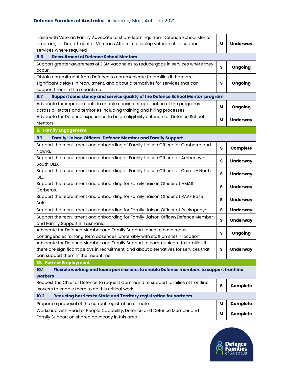| Liaise with Veteran Family Advocate to share learnings from Defence School Mentor<br>program, for Department of Veterans Affairs to develop veteran child support | М            | <b>Underway</b> |
|-------------------------------------------------------------------------------------------------------------------------------------------------------------------|--------------|-----------------|
| services where required.                                                                                                                                          |              |                 |
| <b>Recruitment of Defence School Mentors</b><br>8.6                                                                                                               |              |                 |
| Support greater awareness of DSM vacancies to reduce gaps in services where they<br>occur.                                                                        | S            | Ongoing         |
| Obtain commitment from Defence to communicate to families if there are                                                                                            |              |                 |
| significant delays in recruitment, and about alternatives for services that can                                                                                   | s            | Ongoing         |
| support them in the meantime.                                                                                                                                     |              |                 |
| 8.7<br>Support consistency and service quality of the Defence School Mentor program                                                                               |              |                 |
| Advocate for improvements to enable consistent application of the programs                                                                                        | м            | Ongoing         |
| across all states and territories including training and hiring processes.                                                                                        |              |                 |
| Advocate for Defence experience to be an eligibility criterion for Defence School                                                                                 | M            | <b>Underway</b> |
| Mentors.                                                                                                                                                          |              |                 |
| 9. Family Engagement                                                                                                                                              |              |                 |
| 9.1<br><b>Family Liaison Officers, Defence Member and Family Support</b>                                                                                          |              |                 |
| Support the recruitment and onboarding of Family Liaison Officer for Canberra and                                                                                 | s            | Complete        |
| Nowra.                                                                                                                                                            |              |                 |
| Support the recruitment and onboarding of Family Liaison Officer for Amberley -                                                                                   | s            | <b>Underway</b> |
| South QLD.                                                                                                                                                        |              |                 |
| Support the recruitment and onboarding of Family Liaison Officer for Cairns - North                                                                               | $\mathsf{s}$ | <b>Underway</b> |
| QLD.                                                                                                                                                              |              |                 |
| Support the recruitment and onboarding for Family Liaison Officer at HMAS                                                                                         | s            | <b>Underway</b> |
| Cerberus.                                                                                                                                                         |              |                 |
| Support the recruitment and onboarding for Family Liaison Officer at RAAF Base                                                                                    | s            | <b>Underway</b> |
| Sale.                                                                                                                                                             |              |                 |
| Support the recruitment and onboarding for Family Liaison Officer at Puckapunyal.                                                                                 | $\mathsf{s}$ | <b>Underway</b> |
| Support the recruitment and onboarding for Family Liaison Officer/Defence Member                                                                                  | s            | <b>Underway</b> |
| and Family Support in Tasmania.                                                                                                                                   |              |                 |
| Advocate for Defence Member and Family Support fence to have robust<br>contingencies for long term absences, preferably with staff on site/in location.           | s            | Ongoing         |
| Advocate for Defence Member and Family Support to communicate to families if                                                                                      |              |                 |
| there are significant delays in recruitment, and about alternatives for services that                                                                             | s            | <b>Underway</b> |
| can support them in the meantime.                                                                                                                                 |              |                 |
| 10. Partner Employment                                                                                                                                            |              |                 |
| Flexible working and leave permissions to enable Defence members to support frontline<br>10.1                                                                     |              |                 |
| workers                                                                                                                                                           |              |                 |
| Request the Chief of Defence to request Command to support families of frontline                                                                                  |              |                 |
| workers to enable them to do this critical work.                                                                                                                  | S            | Complete        |
| 10.2<br>Reducing barriers to State and Territory registration for partners                                                                                        |              |                 |
| Prepare a proposal of the current registration climate.                                                                                                           | м            | Complete        |
| Workshop with Head of People Capability, Defence and Defence Member and                                                                                           |              |                 |
| Family Support on shared advocacy in this area.                                                                                                                   | м            | <b>Complete</b> |

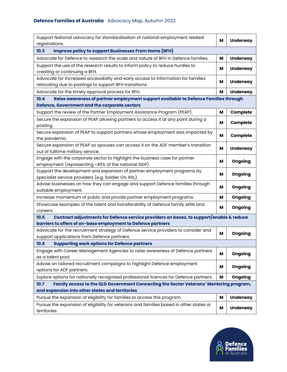| Support National advocacy for standardisation of national employment related<br>registrations.                                                      | м | <b>Underway</b> |
|-----------------------------------------------------------------------------------------------------------------------------------------------------|---|-----------------|
| <b>Improve policy to support Businesses From Home (BFH)</b><br>10.3                                                                                 |   |                 |
| Advocate for Defence to research the scale and nature of BFH in Defence families.                                                                   | М | <b>Underway</b> |
| Support the use of the research results to inform policy to reduce hurdles to<br>creating or continuing a BFH.                                      | м | <b>Underway</b> |
| Advocate for increased accessibility and early access to information for families                                                                   | м | <b>Underway</b> |
| relocating due to postings to support BFH transitions.                                                                                              |   |                 |
| Advocate for the timely approval process for BFH.                                                                                                   | M | <b>Underway</b> |
| Raise awareness of partner employment support available to Defence Families through<br>10.4<br><b>Defence, Government and the corporate sectors</b> |   |                 |
| Support the review of the Partner Employment Assistance Program (PEAP).                                                                             | м | Complete        |
| Secure the expansion of PEAP allowing partners to access it at any point during a<br>posting.                                                       | м | Complete        |
| Secure expansion of PEAP to support partners whose employment was impacted by<br>the pandemic.                                                      | M | Complete        |
| Secure expansion of PEAP so spouses can access it on the ADF member's transition<br>out of fulltime military service.                               | м | <b>Underway</b> |
| Engage with the corporate sector to highlight the business case for partner<br>employment (representing >40% of the national GDP).                  | м | Ongoing         |
| Support the development and expansion of partner employment programs by<br>specialist service providers (e.g. Soldier On, RSL).                     | М | Ongoing         |
| Advise businesses on how they can engage and support Defence families through<br>suitable employment.                                               | м | Ongoing         |
| Increase momentum of public and private partner employment programs.                                                                                | М | Ongoing         |
| Showcase examples of the talent and transferability of Defence family skills and<br>careers.                                                        | М | Ongoing         |
| Contract adjustments for Defence service providers on bases, to support/enable & reduce<br>10.5                                                     |   |                 |
| barriers to offers of on-base employment to Defence partners                                                                                        |   |                 |
| Advocate for the recruitment strategy of Defence service providers to consider and<br>support applications from Defence partners.                   | M | Ongoing         |
| <b>Supporting work options for Defence partners</b><br>10.6                                                                                         |   |                 |
| Engage with Career Management Agencies to raise awareness of Defence partners<br>as a talent pool.                                                  | м | Ongoing         |
| Advise on tailored recruitment campaigns to highlight Defence employment<br>options for ADF partners.                                               | м | Ongoing         |
| Explore options for nationally recognised professional licences for Defence partners.                                                               | М | Ongoing         |
| 10.7<br>Family access to the QLD Government Connecting the Sector Veterans' Mentoring program,                                                      |   |                 |
| and expansion into other states and territories                                                                                                     |   |                 |
| Pursue the expansion of eligibility for families to access this program.                                                                            | M | <b>Underway</b> |
| Pursue the expansion of eligibility for veterans and families based in other states or<br>territories.                                              | м | <b>Underway</b> |

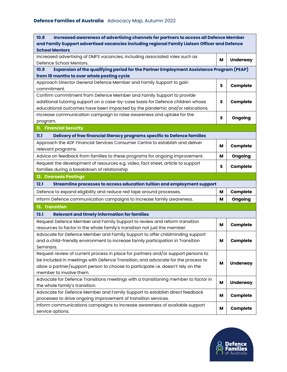| Increased awareness of advertising channels for partners to access all Defence Member<br>10.8                                                |   |                 |
|----------------------------------------------------------------------------------------------------------------------------------------------|---|-----------------|
| and Family Support advertised vacancies including regional Family Liaison Officer and Defence<br><b>School Mentors</b>                       |   |                 |
| Increased advertising of DMFS vacancies, including associated roles such as                                                                  |   |                 |
| Defence School Mentors.                                                                                                                      | м | <b>Underway</b> |
| Expansion of the qualifying period for the Partner Employment Assistance Program (PEAP)<br>10.9                                              |   |                 |
| from 18 months to over whole posting cycle                                                                                                   |   |                 |
| Approach Director General Defence Member and Family Support to gain<br>commitment.                                                           | s | Complete        |
| Confirm commitment from Defence Member and Family Support to provide                                                                         |   |                 |
| additional tutoring support on a case-by-case basis for Defence children whose                                                               | s | Complete        |
| educational outcomes have been impacted by the pandemic and/or relocations.                                                                  |   |                 |
| Increase communication campaign to raise awareness and uptake for the                                                                        |   |                 |
| program.                                                                                                                                     | s | Ongoing         |
| 11. Financial Security                                                                                                                       |   |                 |
| Delivery of free financial literacy programs specific to Defence families<br>11.1                                                            |   |                 |
| Approach the ADF Financial Services Consumer Centre to establish and deliver                                                                 | м | Complete        |
| relevant programs.                                                                                                                           |   |                 |
| Advice on feedback from families to these programs for ongoing improvement.                                                                  | M | Ongoing         |
| Request the development of resources e.g. video, fact sheet, article to support                                                              | s | Complete        |
| families during a breakdown of relationship                                                                                                  |   |                 |
|                                                                                                                                              |   |                 |
| 12. Overseas Postings                                                                                                                        |   |                 |
| Streamline processes to access education tuition and employment support<br>12.1                                                              |   |                 |
| Defence to expand eligibility and reduce red tape around processes.                                                                          | м | Complete        |
| Inform Defence communication campaigns to increase family awareness.                                                                         | м | Ongoing         |
| 13. Transition                                                                                                                               |   |                 |
| <b>Relevant and timely information for families</b><br>13.1                                                                                  |   |                 |
| Request Defence Member and Family Support to review and reform transition                                                                    |   |                 |
| resources to factor in the whole family's transition not just the member.                                                                    | M | Complete        |
| Advocate for Defence Member and Family Support to offer childminding support                                                                 |   |                 |
| and a child-friendly environment to increase family participation in Transition                                                              | M | Complete        |
| Seminars.                                                                                                                                    |   |                 |
| Request review of current process in place for partners and/or support persons to                                                            |   |                 |
| be included in meetings with Defence Transition, and advocate for the process to                                                             | м |                 |
| allow a partner/support person to choose to participate i.e. doesn't rely on the                                                             |   | <b>Underway</b> |
| member to involve them.                                                                                                                      |   |                 |
| Advocate for Defence Transitions meetings with a transitioning member to factor in                                                           | M | <b>Underway</b> |
| the whole family's transition.                                                                                                               |   |                 |
| Advocate for Defence Member and Family Support to establish direct feedback                                                                  | м | <b>Complete</b> |
| processes to drive ongoing improvement of transition services.<br>Inform communications campaigns to increase awareness of available support | М | <b>Complete</b> |

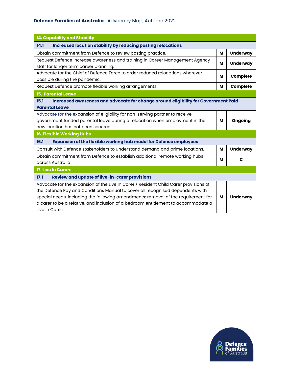| 14. Capability and Stability                                                                                                                                                                                                                                                                                                                                      |   |                 |
|-------------------------------------------------------------------------------------------------------------------------------------------------------------------------------------------------------------------------------------------------------------------------------------------------------------------------------------------------------------------|---|-----------------|
| <b>Increased location stability by reducing posting relocations</b><br>14.1                                                                                                                                                                                                                                                                                       |   |                 |
| Obtain commitment from Defence to review posting practice.                                                                                                                                                                                                                                                                                                        | М | <b>Underway</b> |
| Request Defence increase awareness and training in Career Management Agency<br>staff for longer term career planning.                                                                                                                                                                                                                                             | м | <b>Underway</b> |
| Advocate for the Chief of Defence Force to order reduced relocations wherever<br>possible during the pandemic.                                                                                                                                                                                                                                                    | м | Complete        |
| Request Defence promote flexible working arrangements.                                                                                                                                                                                                                                                                                                            | м | <b>Complete</b> |
| <b>15. Parental Leave</b>                                                                                                                                                                                                                                                                                                                                         |   |                 |
| Increased awareness and advocate for change around eligibility for Government Paid<br>15.1<br><b>Parental Leave</b>                                                                                                                                                                                                                                               |   |                 |
| Advocate for the expansion of eligibility for non-serving partner to receive<br>government funded parental leave during a relocation when employment in the<br>new location has not been secured.                                                                                                                                                                 | м | Ongoing         |
| 16. Flexible Working Hubs                                                                                                                                                                                                                                                                                                                                         |   |                 |
| <b>Expansion of the flexible working hub model for Defence employees</b><br>16.1                                                                                                                                                                                                                                                                                  |   |                 |
| Consult with Defence stakeholders to understand demand and prime locations.                                                                                                                                                                                                                                                                                       | м | <b>Underway</b> |
| Obtain commitment from Defence to establish additional remote working hubs<br>across Australia                                                                                                                                                                                                                                                                    | м | C               |
| <b>17. Live In Carers</b>                                                                                                                                                                                                                                                                                                                                         |   |                 |
| Review and update of live-in-carer provisions<br>17.1                                                                                                                                                                                                                                                                                                             |   |                 |
| Advocate for the expansion of the Live In Carer / Resident Child Carer provisions of<br>the Defence Pay and Conditions Manual to cover all recognised dependents with<br>special needs, including the following amendments: removal of the requirement for<br>a carer to be a relative, and inclusion of a bedroom entitlement to accommodate a<br>Live In Carer. | м | <b>Underway</b> |

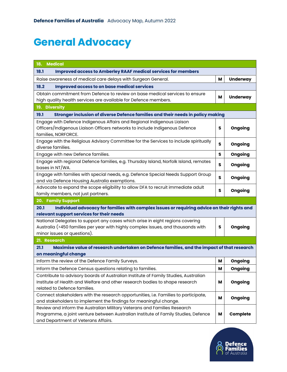### **General Advocacy**

| <b>Medical</b><br>18.                                                                                                                                    |   |                 |
|----------------------------------------------------------------------------------------------------------------------------------------------------------|---|-----------------|
| <b>Improved access to Amberley RAAF medical services for members</b><br>18.1                                                                             |   |                 |
| Raise awareness of medical care delays with Surgeon General.                                                                                             | M | <b>Underway</b> |
| <b>Improved access to on base medical services</b><br>18.2                                                                                               |   |                 |
| Obtain commitment from Defence to review on base medical services to ensure                                                                              | M |                 |
| high quality health services are available for Defence members.                                                                                          |   | <b>Underway</b> |
| 19. Diversity                                                                                                                                            |   |                 |
| 19.1<br>Stronger inclusion of diverse Defence families and their needs in policy making                                                                  |   |                 |
| Engage with Defence Indigenous Affairs and Regional Indigenous Liaison                                                                                   |   |                 |
| Officers/Indigenous Liaison Officers networks to include Indigenous Defence                                                                              | s | Ongoing         |
| families, NORFORCE.                                                                                                                                      |   |                 |
| Engage with the Religious Advisory Committee for the Services to include spiritually                                                                     | S | Ongoing         |
| diverse families.                                                                                                                                        |   |                 |
| Engage with new Defence families.                                                                                                                        | s | Ongoing         |
| Engage with regional Defence families, e.g. Thursday Island, Norfolk Island, remotes<br>bases in NT/WA.                                                  | S | Ongoing         |
| Engage with families with special needs, e.g. Defence Special Needs Support Group                                                                        |   |                 |
| and via Defence Housing Australia exemptions.                                                                                                            | S | Ongoing         |
| Advocate to expand the scope eligibility to allow DFA to recruit immediate adult                                                                         |   |                 |
| family members, not just partners.                                                                                                                       | S | Ongoing         |
| 20. Family Support                                                                                                                                       |   |                 |
| 20.1<br>Individual advocacy for families with complex issues or requiring advice on their rights and                                                     |   |                 |
| relevant support services for their needs                                                                                                                |   |                 |
| National Delegates to support any cases which arise in eight regions covering                                                                            |   |                 |
| Australia (>450 families per year with highly complex issues, and thousands with                                                                         | S | Ongoing         |
| minor issues or questions).                                                                                                                              |   |                 |
| 21. Research                                                                                                                                             |   |                 |
| Maximise value of research undertaken on Defence families, and the impact of that research<br>21.1                                                       |   |                 |
| on meaningful change                                                                                                                                     |   |                 |
| Inform the review of the Defence Family Surveys.                                                                                                         | М | Ongoing         |
| Inform the Defence Census questions relating to families.                                                                                                | М | Ongoing         |
| Contribute to advisory boards of Australian Institute of Family Studies, Australian                                                                      |   |                 |
| Institute of Health and Welfare and other research bodies to shape research                                                                              | M | Ongoing         |
| related to Defence families.                                                                                                                             |   |                 |
| Connect stakeholders with the research opportunities, i.e. Families to participate,<br>and stakeholders to implement the findings for meaningful change. | M | Ongoing         |
| Review and inform the Australian Military Veterans and Families Research                                                                                 |   |                 |
| Programme, a joint venture between Australian Institute of Family Studies, Defence                                                                       | M | Complete        |
| and Department of Veterans Affairs.                                                                                                                      |   |                 |

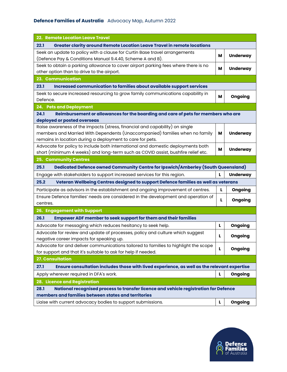| 22. Remote Location Leave Travel                                                                           |   |                 |  |
|------------------------------------------------------------------------------------------------------------|---|-----------------|--|
| <b>Greater clarity around Remote Location Leave Travel in remote locations</b><br>22.1                     |   |                 |  |
| Seek an update to policy with a clause for Curtin Base travel arrangements                                 | M | <b>Underway</b> |  |
| (Defence Pay & Conditions Manual 9.4.40, Scheme A and B).                                                  |   |                 |  |
| Seek to obtain a parking allowance to cover airport parking fees where there is no                         | м | <b>Underway</b> |  |
| other option than to drive to the airport.                                                                 |   |                 |  |
| 23. Communication                                                                                          |   |                 |  |
| 23.1<br>Increased communication to families about available support services                               |   |                 |  |
| Seek to secure increased resourcing to grow family communications capability in                            | M | Ongoing         |  |
| Defence.                                                                                                   |   |                 |  |
| 24. Pets and Deployment                                                                                    |   |                 |  |
| 24.1<br>Reimbursement or allowances for the boarding and care of pets for members who are                  |   |                 |  |
| deployed or posted overseas<br>Raise awareness of the impacts (stress, financial and capability) on single |   |                 |  |
| members and Married With Dependents (Unaccompanied) families when no family                                | M | <b>Underway</b> |  |
| remains in location during a deployment to care for pets.                                                  |   |                 |  |
| Advocate for policy to include both international and domestic deployments both                            |   |                 |  |
| short (minimum 4 weeks) and long-term such as COVID assist, bushfire relief etc.                           | M | <b>Underway</b> |  |
| <b>25. Community Centres</b>                                                                               |   |                 |  |
| Dedicated Defence owned Community Centre for Ipswich/Amberley (South Queensland)<br>25.1                   |   |                 |  |
| Engage with stakeholders to support increased services for this region.                                    | L | <b>Underway</b> |  |
| 25.2<br>Veteran Wellbeing Centres designed to support Defence families as well as veterans                 |   |                 |  |
| Participate as advisors in the establishment and ongoing improvement of centres.                           | L | Ongoing         |  |
| Ensure Defence families' needs are considered in the development and operation of                          |   |                 |  |
| centres.                                                                                                   | L | Ongoing         |  |
| 26. Engagement with Support                                                                                |   |                 |  |
| 26.1<br><b>Empower ADF member to seek support for them and their families</b>                              |   |                 |  |
| Advocate for messaging which reduces hesitancy to seek help.                                               | L | Ongoing         |  |
| Advocate for review and update of processes, policy and culture which suggest                              | L |                 |  |
| negative career impacts for speaking up.                                                                   |   | Ongoing         |  |
| Advocate for and deliver communications tailored to families to highlight the scope                        | L | Ongoing         |  |
| for support and that it's suitable to ask for help if needed.                                              |   |                 |  |
| <b>27. Consultation</b>                                                                                    |   |                 |  |
| Ensure consultation includes those with lived experience, as well as the relevant expertise<br>27.1        |   |                 |  |
| Apply wherever required in DFA's work.                                                                     | L | Ongoing         |  |
| 28. Licence and Registration                                                                               |   |                 |  |
| National recognised process to transfer licence and vehicle registration for Defence<br>28.1               |   |                 |  |
| members and families between states and territories                                                        |   |                 |  |
| Liaise with current advocacy bodies to support submissions.                                                | L | Ongoing         |  |